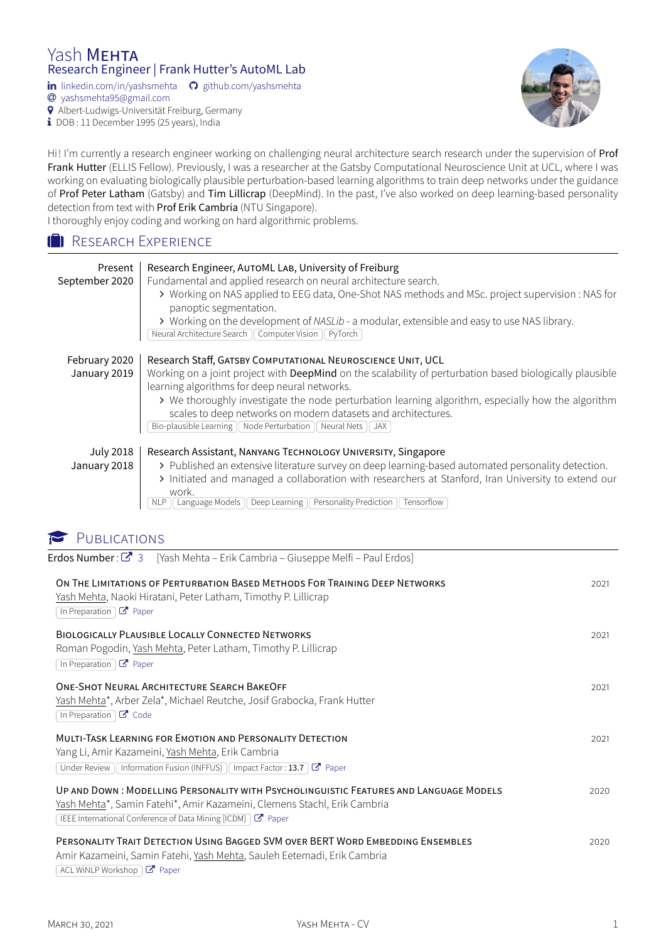#### Yash MEHTA Research Engineer | Frank Hutter's AutoML Lab

in [linkedin.com/in/yashsmehta](http://www.linkedin.com/in/yashsmehta/fr)  $\bigcirc$  [github.com/yashsmehta](https://www.github.com/yashsmehta)

� [yashsmehta95@gmail.com](mailto:yashsmehta95@gmail.com)

� Albert-Ludwigs-Universität Freiburg, Germany

 $\frac{1}{2}$  DOB : 11 December 1995 (25 years), India



Hi! I'm currently a research engineer working on challenging neural architecture search research under the supervision of [Prof](https://scholar.google.com/citations?hl=en&user=YUrxwrkAAAAJ&view_op=list_works) [Frank Hutter](https://scholar.google.com/citations?hl=en&user=YUrxwrkAAAAJ&view_op=list_works) (ELLIS Fellow). Previously, I was a researcher at the Gatsby Computational Neuroscience Unit at UCL, where I was working on evaluating biologically plausible perturbation-based learning algorithms to train deep networks under the guidance of [Prof Peter Latham](https://scholar.google.co.uk/citations?user=wmqntyEAAAAJ&hl=en) (Gatsby) and [Tim Lillicrap](https://scholar.google.co.uk/citations?user=htPVdRMAAAAJ&hl=en) (DeepMind). In the past, I've also worked on deep learning-based personality detection from text with [Prof Erik Cambria](https://scholar.google.com/citations?user=ilSYpW0AAAAJ&hl=en) (NTU Singapore).

I thoroughly enjoy coding and working on hard algorithmic problems.

#### **B** RESEARCH EXPERIENCE

| Present<br>September 2020 | Research Engineer, AUTOML LAB, University of Freiburg<br>Fundamental and applied research on neural architecture search.<br>> Working on NAS applied to EEG data, One-Shot NAS methods and MSc. project supervision : NAS for<br>panoptic segmentation.<br>> Working on the development of NASLib - a modular, extensible and easy to use NAS library.<br>Neural Architecture Search   Computer Vision<br>PyTorch |
|---------------------------|-------------------------------------------------------------------------------------------------------------------------------------------------------------------------------------------------------------------------------------------------------------------------------------------------------------------------------------------------------------------------------------------------------------------|
| February 2020             | Research Staff, GATSBY COMPUTATIONAL NEUROSCIENCE UNIT, UCL                                                                                                                                                                                                                                                                                                                                                       |
| January 2019              | Working on a joint project with DeepMind on the scalability of perturbation based biologically plausible                                                                                                                                                                                                                                                                                                          |
|                           | learning algorithms for deep neural networks.                                                                                                                                                                                                                                                                                                                                                                     |
|                           | > We thoroughly investigate the node perturbation learning algorithm, especially how the algorithm<br>scales to deep networks on modern datasets and architectures.                                                                                                                                                                                                                                               |
|                           | Bio-plausible Learning    Node Perturbation    Neural Nets    JAX                                                                                                                                                                                                                                                                                                                                                 |
|                           |                                                                                                                                                                                                                                                                                                                                                                                                                   |
| <b>July 2018</b>          | Research Assistant, NANYANG TECHNOLOGY UNIVERSITY, Singapore                                                                                                                                                                                                                                                                                                                                                      |
| January 2018              | > Published an extensive literature survey on deep learning-based automated personality detection.                                                                                                                                                                                                                                                                                                                |
|                           | > Initiated and managed a collaboration with researchers at Stanford, Iran University to extend our                                                                                                                                                                                                                                                                                                               |
|                           | work.<br>Language Models<br>Deep Learning<br>Personality Prediction<br>Tensorflow                                                                                                                                                                                                                                                                                                                                 |
|                           |                                                                                                                                                                                                                                                                                                                                                                                                                   |

## PUBLICATIONS

Erdos Number :  $\mathbb{Z}^{\bullet}$  [3](https://www.csauthors.net/distance/yash-mehta/paul-erdos) [Yash Mehta – Erik Cambria – Giuseppe Melfi – Paul Erdos]

| ON THE LIMITATIONS OF PERTURBATION BASED METHODS FOR TRAINING DEEP NETWORKS<br>Yash Mehta, Naoki Hiratani, Peter Latham, Timothy P. Lillicrap<br>In Preparation $\mathcal{C}$ Paper                                                        | 2021 |
|--------------------------------------------------------------------------------------------------------------------------------------------------------------------------------------------------------------------------------------------|------|
| <b>BIOLOGICALLY PLAUSIBLE LOCALLY CONNECTED NETWORKS</b><br>Roman Pogodin, Yash Mehta, Peter Latham, Timothy P. Lillicrap<br>In Preparation $\boxed{C}$ Paper                                                                              | 2021 |
| ONE-SHOT NEURAL ARCHITECTURE SEARCH BAKEOFF<br>Yash Mehta*, Arber Zela*, Michael Reutche, Josif Grabocka, Frank Hutter<br>In Preparation $\boxed{C}$ Code                                                                                  | 2021 |
| <b>MULTI-TASK LEARNING FOR EMOTION AND PERSONALITY DETECTION</b><br>Yang Li, Amir Kazameini, <u>Yash Mehta,</u> Erik Cambria<br>Under Review   Information Fusion (INFFUS)   Impact Factor: 13.7 $\boxed{C}$ Paper                         | 2021 |
| UP AND DOWN: MODELLING PERSONALITY WITH PSYCHOLINGUISTIC FEATURES AND LANGUAGE MODELS<br>Yash Mehta*, Samin Fatehi*, Amir Kazameini, Clemens Stachl, Erik Cambria<br>IEEE International Conference of Data Mining [ICDM] $\boxed{C}$ Paper | 2020 |
| PERSONALITY TRAIT DETECTION USING BAGGED SVM OVER BERT WORD EMBEDDING ENSEMBLES<br>Amir Kazameini, Samin Fatehi, Yash Mehta, Sauleh Eetemadi, Erik Cambria<br>ACL WINLP Workshop $\mathcal{C}'$ Paper                                      | 2020 |